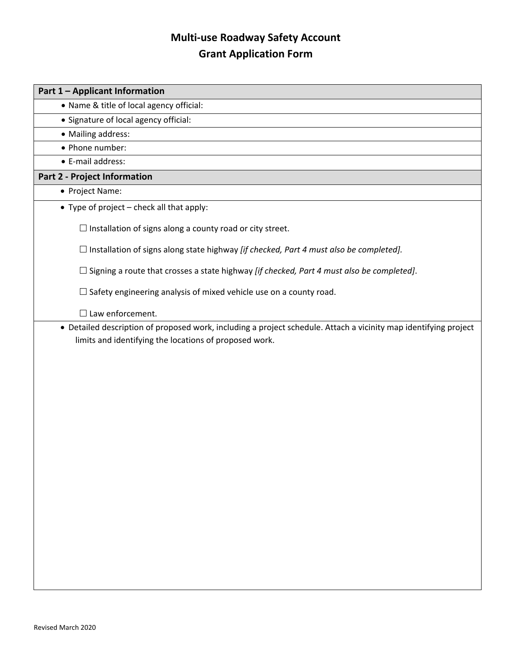## **Multi-use Roadway Safety Account Grant Application Form**

| • Name & title of local agency official:<br>• Signature of local agency official:<br>• Mailing address:<br>• Phone number:<br>• E-mail address:<br><b>Part 2 - Project Information</b><br>• Project Name:<br>• Type of project $-$ check all that apply:<br>$\Box$ Installation of signs along a county road or city street.<br>$\Box$ Installation of signs along state highway <i>[if checked, Part 4 must also be completed]</i> .<br>$\Box$ Signing a route that crosses a state highway <i>[if checked, Part 4 must also be completed]</i> .<br>$\Box$ Safety engineering analysis of mixed vehicle use on a county road.<br>$\Box$ Law enforcement.<br>• Detailed description of proposed work, including a project schedule. Attach a vicinity map identifying project<br>limits and identifying the locations of proposed work. | Part 1 - Applicant Information |
|-----------------------------------------------------------------------------------------------------------------------------------------------------------------------------------------------------------------------------------------------------------------------------------------------------------------------------------------------------------------------------------------------------------------------------------------------------------------------------------------------------------------------------------------------------------------------------------------------------------------------------------------------------------------------------------------------------------------------------------------------------------------------------------------------------------------------------------------|--------------------------------|
|                                                                                                                                                                                                                                                                                                                                                                                                                                                                                                                                                                                                                                                                                                                                                                                                                                         |                                |
|                                                                                                                                                                                                                                                                                                                                                                                                                                                                                                                                                                                                                                                                                                                                                                                                                                         |                                |
|                                                                                                                                                                                                                                                                                                                                                                                                                                                                                                                                                                                                                                                                                                                                                                                                                                         |                                |
|                                                                                                                                                                                                                                                                                                                                                                                                                                                                                                                                                                                                                                                                                                                                                                                                                                         |                                |
|                                                                                                                                                                                                                                                                                                                                                                                                                                                                                                                                                                                                                                                                                                                                                                                                                                         |                                |
|                                                                                                                                                                                                                                                                                                                                                                                                                                                                                                                                                                                                                                                                                                                                                                                                                                         |                                |
|                                                                                                                                                                                                                                                                                                                                                                                                                                                                                                                                                                                                                                                                                                                                                                                                                                         |                                |
|                                                                                                                                                                                                                                                                                                                                                                                                                                                                                                                                                                                                                                                                                                                                                                                                                                         |                                |
|                                                                                                                                                                                                                                                                                                                                                                                                                                                                                                                                                                                                                                                                                                                                                                                                                                         |                                |
|                                                                                                                                                                                                                                                                                                                                                                                                                                                                                                                                                                                                                                                                                                                                                                                                                                         |                                |
|                                                                                                                                                                                                                                                                                                                                                                                                                                                                                                                                                                                                                                                                                                                                                                                                                                         |                                |
|                                                                                                                                                                                                                                                                                                                                                                                                                                                                                                                                                                                                                                                                                                                                                                                                                                         |                                |
|                                                                                                                                                                                                                                                                                                                                                                                                                                                                                                                                                                                                                                                                                                                                                                                                                                         |                                |
|                                                                                                                                                                                                                                                                                                                                                                                                                                                                                                                                                                                                                                                                                                                                                                                                                                         |                                |
|                                                                                                                                                                                                                                                                                                                                                                                                                                                                                                                                                                                                                                                                                                                                                                                                                                         |                                |
|                                                                                                                                                                                                                                                                                                                                                                                                                                                                                                                                                                                                                                                                                                                                                                                                                                         |                                |
|                                                                                                                                                                                                                                                                                                                                                                                                                                                                                                                                                                                                                                                                                                                                                                                                                                         |                                |